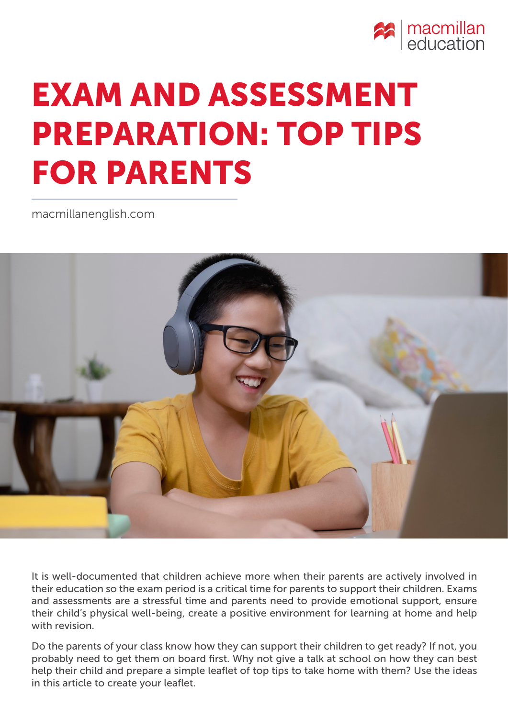

# EXAM AND ASSESSMENT PREPARATION: TOP TIPS FOR PARENTS

[macmillanenglish.com](www.macmillanenglish.com)



It is well-documented that children achieve more when their parents are actively involved in their education so the exam period is a critical time for parents to support their children. Exams and assessments are a stressful time and parents need to provide emotional support, ensure their child's physical well-being, create a positive environment for learning at home and help with revision.

Do the parents of your class know how they can support their children to get ready? If not, you probably need to get them on board first. Why not give a talk at school on how they can best help their child and prepare a simple leaflet of top tips to take home with them? Use the ideas in this article to create your leaflet.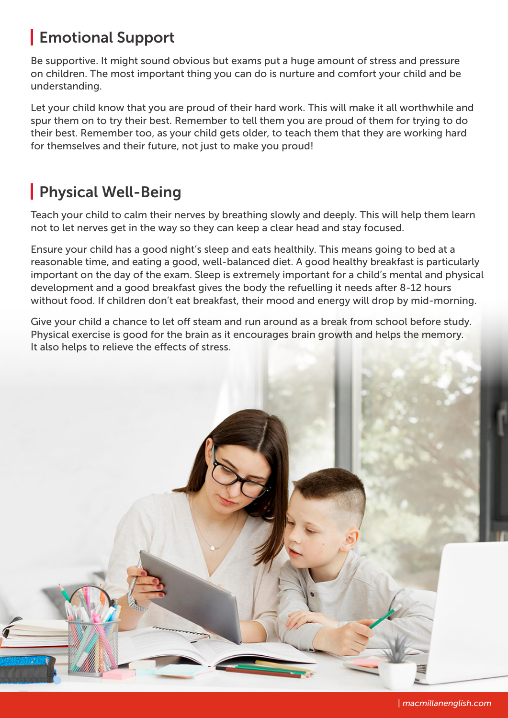## Emotional Support

Be supportive. It might sound obvious but exams put a huge amount of stress and pressure on children. The most important thing you can do is nurture and comfort your child and be understanding.

Let your child know that you are proud of their hard work. This will make it all worthwhile and spur them on to try their best. Remember to tell them you are proud of them for trying to do their best. Remember too, as your child gets older, to teach them that they are working hard for themselves and their future, not just to make you proud!

### Physical Well-Being

Teach your child to calm their nerves by breathing slowly and deeply. This will help them learn not to let nerves get in the way so they can keep a clear head and stay focused.

Ensure your child has a good night's sleep and eats healthily. This means going to bed at a reasonable time, and eating a good, well-balanced diet. A good healthy breakfast is particularly important on the day of the exam. Sleep is extremely important for a child's mental and physical development and a good breakfast gives the body the refuelling it needs after 8-12 hours without food. If children don't eat breakfast, their mood and energy will drop by mid-morning.

Give your child a chance to let off steam and run around as a break from school before study. Physical exercise is good for the brain as it encourages brain growth and helps the memory. It also helps to relieve the effects of stress.